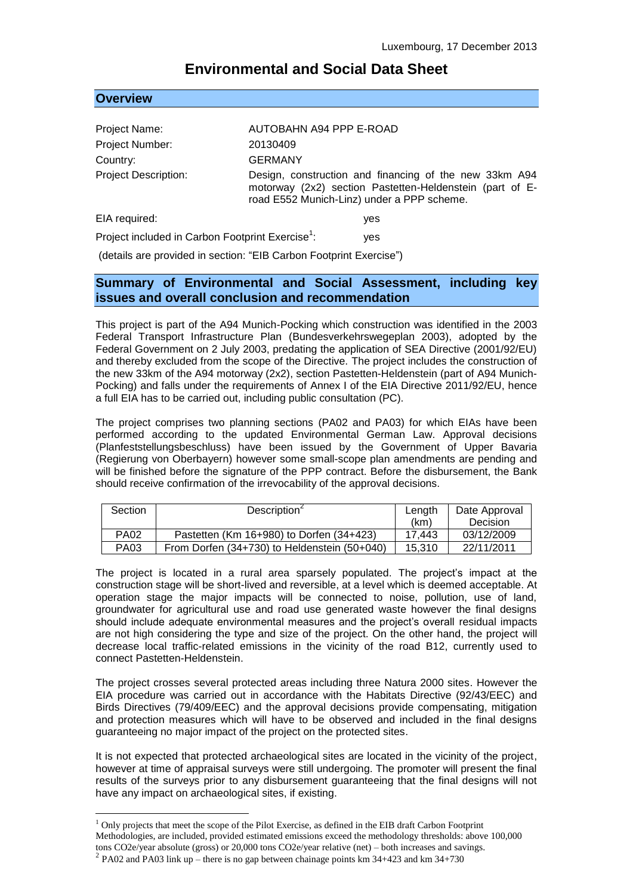# **Environmental and Social Data Sheet**

| <b>Overview</b> |  |  |
|-----------------|--|--|
|                 |  |  |

1

| Project Name:                                                | AUTOBAHN A94 PPP E-ROAD                                                                                                                                          |  |  |
|--------------------------------------------------------------|------------------------------------------------------------------------------------------------------------------------------------------------------------------|--|--|
| Project Number:                                              | 20130409                                                                                                                                                         |  |  |
| Country:                                                     | <b>GERMANY</b>                                                                                                                                                   |  |  |
| <b>Project Description:</b>                                  | Design, construction and financing of the new 33km A94<br>motorway (2x2) section Pastetten-Heldenstein (part of E-<br>road E552 Munich-Linz) under a PPP scheme. |  |  |
| EIA required:                                                | yes                                                                                                                                                              |  |  |
| Project included in Carbon Footprint Exercise <sup>1</sup> : | yes                                                                                                                                                              |  |  |

(details are provided in section: "EIB Carbon Footprint Exercise")

# **Summary of Environmental and Social Assessment, including key issues and overall conclusion and recommendation**

This project is part of the A94 Munich-Pocking which construction was identified in the 2003 Federal Transport Infrastructure Plan (Bundesverkehrswegeplan 2003), adopted by the Federal Government on 2 July 2003, predating the application of SEA Directive (2001/92/EU) and thereby excluded from the scope of the Directive. The project includes the construction of the new 33km of the A94 motorway (2x2), section Pastetten-Heldenstein (part of A94 Munich-Pocking) and falls under the requirements of Annex I of the EIA Directive 2011/92/EU, hence a full EIA has to be carried out, including public consultation (PC).

The project comprises two planning sections (PA02 and PA03) for which EIAs have been performed according to the updated Environmental German Law. Approval decisions (Planfeststellungsbeschluss) have been issued by the Government of Upper Bavaria (Regierung von Oberbayern) however some small-scope plan amendments are pending and will be finished before the signature of the PPP contract. Before the disbursement, the Bank should receive confirmation of the irrevocability of the approval decisions.

| Section     | Description                                      | Length | Date Approval |
|-------------|--------------------------------------------------|--------|---------------|
|             |                                                  | (km)   | Decision      |
| <b>PA02</b> | Pastetten (Km 16+980) to Dorfen (34+423)         | 17.443 | 03/12/2009    |
| PA03        | From Dorfen $(34+730)$ to Heldenstein $(50+040)$ | 15.310 | 22/11/2011    |

The project is located in a rural area sparsely populated. The project's impact at the construction stage will be short-lived and reversible, at a level which is deemed acceptable. At operation stage the major impacts will be connected to noise, pollution, use of land, groundwater for agricultural use and road use generated waste however the final designs should include adequate environmental measures and the project's overall residual impacts are not high considering the type and size of the project. On the other hand, the project will decrease local traffic-related emissions in the vicinity of the road B12, currently used to connect Pastetten-Heldenstein.

The project crosses several protected areas including three Natura 2000 sites. However the EIA procedure was carried out in accordance with the Habitats Directive (92/43/EEC) and Birds Directives (79/409/EEC) and the approval decisions provide compensating, mitigation and protection measures which will have to be observed and included in the final designs guaranteeing no major impact of the project on the protected sites.

It is not expected that protected archaeological sites are located in the vicinity of the project, however at time of appraisal surveys were still undergoing. The promoter will present the final results of the surveys prior to any disbursement guaranteeing that the final designs will not have any impact on archaeological sites, if existing.

 $<sup>1</sup>$  Only projects that meet the scope of the Pilot Exercise, as defined in the EIB draft Carbon Footprint</sup> Methodologies, are included, provided estimated emissions exceed the methodology thresholds: above 100,000 tons CO2e/year absolute (gross) or 20,000 tons CO2e/year relative (net) – both increases and savings.

 $^{2}$  PA02 and PA03 link up – there is no gap between chainage points km 34+423 and km 34+730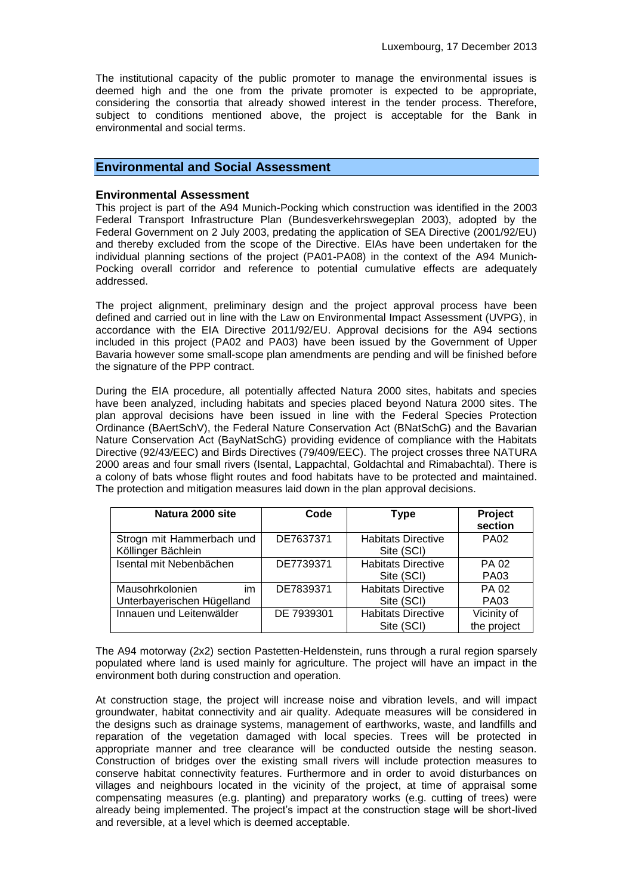The institutional capacity of the public promoter to manage the environmental issues is deemed high and the one from the private promoter is expected to be appropriate, considering the consortia that already showed interest in the tender process. Therefore, subject to conditions mentioned above, the project is acceptable for the Bank in environmental and social terms.

### **Environmental and Social Assessment**

#### **Environmental Assessment**

This project is part of the A94 Munich-Pocking which construction was identified in the 2003 Federal Transport Infrastructure Plan (Bundesverkehrswegeplan 2003), adopted by the Federal Government on 2 July 2003, predating the application of SEA Directive (2001/92/EU) and thereby excluded from the scope of the Directive. EIAs have been undertaken for the individual planning sections of the project (PA01-PA08) in the context of the A94 Munich-Pocking overall corridor and reference to potential cumulative effects are adequately addressed.

The project alignment, preliminary design and the project approval process have been defined and carried out in line with the Law on Environmental Impact Assessment (UVPG), in accordance with the EIA Directive 2011/92/EU. Approval decisions for the A94 sections included in this project (PA02 and PA03) have been issued by the Government of Upper Bavaria however some small-scope plan amendments are pending and will be finished before the signature of the PPP contract.

During the EIA procedure, all potentially affected Natura 2000 sites, habitats and species have been analyzed, including habitats and species placed beyond Natura 2000 sites. The plan approval decisions have been issued in line with the Federal Species Protection Ordinance (BAertSchV), the Federal Nature Conservation Act (BNatSchG) and the Bavarian Nature Conservation Act (BayNatSchG) providing evidence of compliance with the Habitats Directive (92/43/EEC) and Birds Directives (79/409/EEC). The project crosses three NATURA 2000 areas and four small rivers (Isental, Lappachtal, Goldachtal and Rimabachtal). There is a colony of bats whose flight routes and food habitats have to be protected and maintained. The protection and mitigation measures laid down in the plan approval decisions.

| Natura 2000 site                                | Code       | Type                                    | Project<br>section          |
|-------------------------------------------------|------------|-----------------------------------------|-----------------------------|
| Strogn mit Hammerbach und<br>Köllinger Bächlein | DE7637371  | <b>Habitats Directive</b><br>Site (SCI) | <b>PA02</b>                 |
| Isental mit Nebenbächen                         | DE7739371  | <b>Habitats Directive</b><br>Site (SCI) | <b>PA 02</b><br><b>PA03</b> |
| im<br>Mausohrkolonien                           | DE7839371  | <b>Habitats Directive</b>               | <b>PA 02</b>                |
| Unterbayerischen Hügelland                      |            | Site (SCI)                              | <b>PA03</b>                 |
| Innauen und Leitenwälder                        | DE 7939301 | <b>Habitats Directive</b>               | Vicinity of                 |
|                                                 |            | Site (SCI)                              | the project                 |

The A94 motorway (2x2) section Pastetten-Heldenstein, runs through a rural region sparsely populated where land is used mainly for agriculture. The project will have an impact in the environment both during construction and operation.

At construction stage, the project will increase noise and vibration levels, and will impact groundwater, habitat connectivity and air quality. Adequate measures will be considered in the designs such as drainage systems, management of earthworks, waste, and landfills and reparation of the vegetation damaged with local species. Trees will be protected in appropriate manner and tree clearance will be conducted outside the nesting season. Construction of bridges over the existing small rivers will include protection measures to conserve habitat connectivity features. Furthermore and in order to avoid disturbances on villages and neighbours located in the vicinity of the project, at time of appraisal some compensating measures (e.g. planting) and preparatory works (e.g. cutting of trees) were already being implemented. The project's impact at the construction stage will be short-lived and reversible, at a level which is deemed acceptable.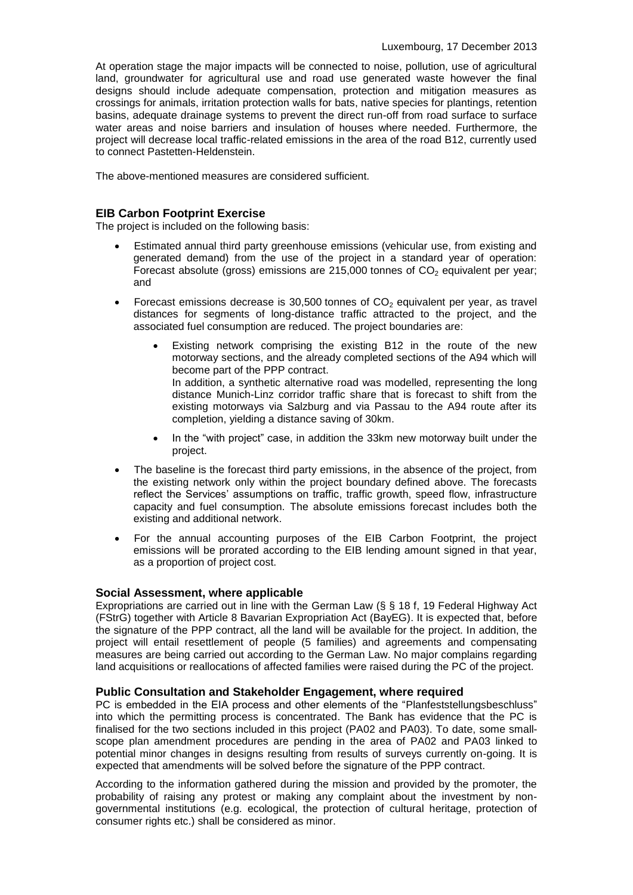At operation stage the major impacts will be connected to noise, pollution, use of agricultural land, groundwater for agricultural use and road use generated waste however the final designs should include adequate compensation, protection and mitigation measures as crossings for animals, irritation protection walls for bats, native species for plantings, retention basins, adequate drainage systems to prevent the direct run-off from road surface to surface water areas and noise barriers and insulation of houses where needed. Furthermore, the project will decrease local traffic-related emissions in the area of the road B12, currently used to connect Pastetten-Heldenstein.

The above-mentioned measures are considered sufficient.

## **EIB Carbon Footprint Exercise**

The project is included on the following basis:

- Estimated annual third party greenhouse emissions (vehicular use, from existing and generated demand) from the use of the project in a standard year of operation: Forecast absolute (gross) emissions are 215,000 tonnes of  $CO<sub>2</sub>$  equivalent per year; and
- Forecast emissions decrease is 30,500 tonnes of  $CO<sub>2</sub>$  equivalent per year, as travel distances for segments of long-distance traffic attracted to the project, and the associated fuel consumption are reduced. The project boundaries are:
	- Existing network comprising the existing B12 in the route of the new motorway sections, and the already completed sections of the A94 which will become part of the PPP contract. In addition, a synthetic alternative road was modelled, representing the long
		- distance Munich-Linz corridor traffic share that is forecast to shift from the existing motorways via Salzburg and via Passau to the A94 route after its completion, yielding a distance saving of 30km.
	- In the "with project" case, in addition the 33km new motorway built under the project.
- The baseline is the forecast third party emissions, in the absence of the project, from the existing network only within the project boundary defined above. The forecasts reflect the Services' assumptions on traffic, traffic growth, speed flow, infrastructure capacity and fuel consumption. The absolute emissions forecast includes both the existing and additional network.
- For the annual accounting purposes of the EIB Carbon Footprint, the project emissions will be prorated according to the EIB lending amount signed in that year, as a proportion of project cost.

## **Social Assessment, where applicable**

Expropriations are carried out in line with the German Law (§ § 18 f, 19 Federal Highway Act (FStrG) together with Article 8 Bavarian Expropriation Act (BayEG). It is expected that, before the signature of the PPP contract, all the land will be available for the project. In addition, the project will entail resettlement of people (5 families) and agreements and compensating measures are being carried out according to the German Law. No major complains regarding land acquisitions or reallocations of affected families were raised during the PC of the project.

#### **Public Consultation and Stakeholder Engagement, where required**

PC is embedded in the EIA process and other elements of the "Planfeststellungsbeschluss" into which the permitting process is concentrated. The Bank has evidence that the PC is finalised for the two sections included in this project (PA02 and PA03). To date, some smallscope plan amendment procedures are pending in the area of PA02 and PA03 linked to potential minor changes in designs resulting from results of surveys currently on-going. It is expected that amendments will be solved before the signature of the PPP contract.

According to the information gathered during the mission and provided by the promoter, the probability of raising any protest or making any complaint about the investment by nongovernmental institutions (e.g. ecological, the protection of cultural heritage, protection of consumer rights etc.) shall be considered as minor.